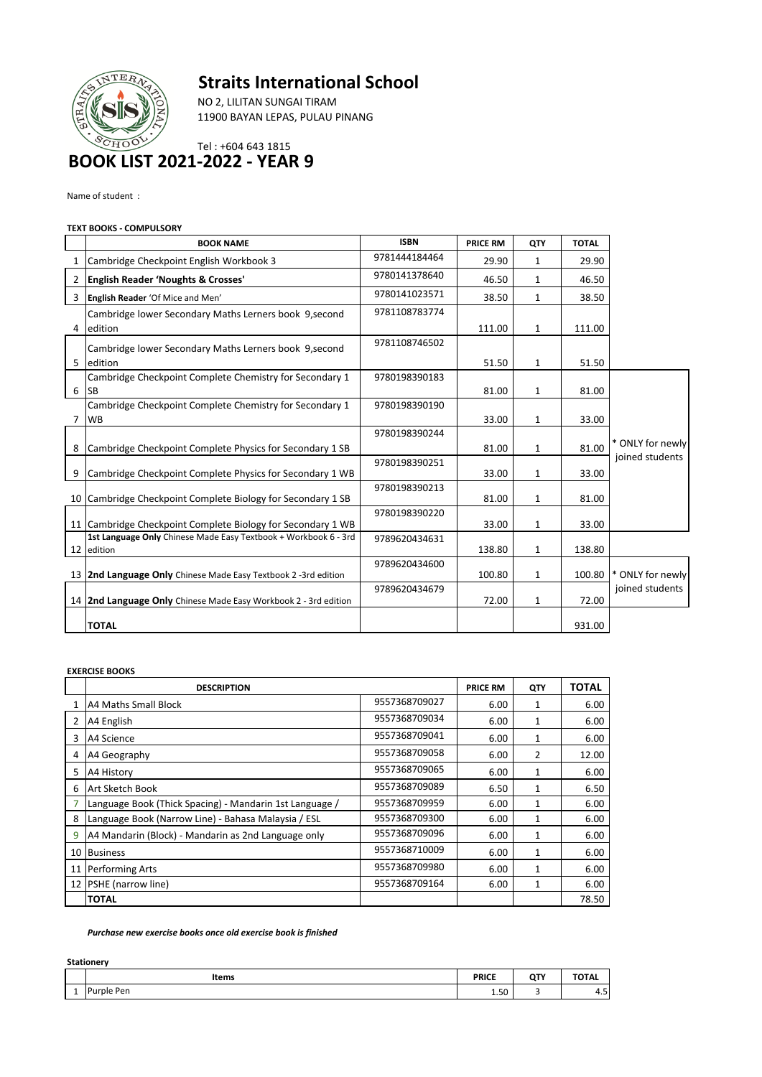# **Straits International School**

TE

NO 2, LILITAN SUNGAI TIRAM 11900 BAYAN LEPAS, PULAU PINANG

## Tel : +604 643 1815 **BOOK LIST 2021-2022 - YEAR 9**

Name of student :

### **TEXT BOOKS - COMPULSORY**

|   | <b>BOOK NAME</b>                                                              | <b>ISBN</b>   | <b>PRICE RM</b> | QTY          | <b>TOTAL</b> |                  |
|---|-------------------------------------------------------------------------------|---------------|-----------------|--------------|--------------|------------------|
| 1 | Cambridge Checkpoint English Workbook 3                                       | 9781444184464 | 29.90           | $\mathbf{1}$ | 29.90        |                  |
|   | 2 English Reader 'Noughts & Crosses'                                          | 9780141378640 | 46.50           | 1            | 46.50        |                  |
| 3 | English Reader 'Of Mice and Men'                                              | 9780141023571 | 38.50           | $\mathbf{1}$ | 38.50        |                  |
|   | Cambridge lower Secondary Maths Lerners book 9, second                        | 9781108783774 |                 |              |              |                  |
| 4 | edition                                                                       |               | 111.00          | $\mathbf{1}$ | 111.00       |                  |
|   | Cambridge lower Secondary Maths Lerners book 9, second                        | 9781108746502 |                 |              |              |                  |
| 5 | edition                                                                       |               | 51.50           | 1            | 51.50        |                  |
|   | Cambridge Checkpoint Complete Chemistry for Secondary 1                       | 9780198390183 |                 |              |              |                  |
| 6 | <b>SB</b>                                                                     |               | 81.00           | $\mathbf{1}$ | 81.00        |                  |
|   | Cambridge Checkpoint Complete Chemistry for Secondary 1                       | 9780198390190 |                 |              |              |                  |
| 7 | <b>WB</b>                                                                     |               | 33.00           | $\mathbf{1}$ | 33.00        |                  |
|   |                                                                               | 9780198390244 |                 |              |              |                  |
| 8 | Cambridge Checkpoint Complete Physics for Secondary 1 SB                      |               | 81.00           | 1            | 81.00        | * ONLY for newly |
|   |                                                                               | 9780198390251 |                 |              |              | joined students  |
| 9 | Cambridge Checkpoint Complete Physics for Secondary 1 WB                      |               | 33.00           | 1            | 33.00        |                  |
|   | 10 Cambridge Checkpoint Complete Biology for Secondary 1 SB                   | 9780198390213 | 81.00           | $\mathbf{1}$ | 81.00        |                  |
|   |                                                                               | 9780198390220 |                 |              |              |                  |
|   | 11 Cambridge Checkpoint Complete Biology for Secondary 1 WB                   |               | 33.00           | $\mathbf{1}$ | 33.00        |                  |
|   | 1st Language Only Chinese Made Easy Textbook + Workbook 6 - 3rd<br>12 edition | 9789620434631 | 138.80          | 1            | 138.80       |                  |
|   |                                                                               | 9789620434600 |                 |              |              |                  |
|   | 13 2nd Language Only Chinese Made Easy Textbook 2 -3rd edition                |               | 100.80          | 1            | 100.80       | * ONLY for newly |
|   | 14 2nd Language Only Chinese Made Easy Workbook 2 - 3rd edition               | 9789620434679 | 72.00           | $\mathbf{1}$ | 72.00        | joined students  |
|   |                                                                               |               |                 |              |              |                  |
|   | <b>TOTAL</b>                                                                  |               |                 |              | 931.00       |                  |

#### **EXERCISE BOOKS**

|    | <b>DESCRIPTION</b>                                      |               | <b>PRICE RM</b> | QTY          | TOTAL |
|----|---------------------------------------------------------|---------------|-----------------|--------------|-------|
|    | <b>A4 Maths Small Block</b>                             | 9557368709027 | 6.00            | 1            | 6.00  |
| 2  | A4 English                                              | 9557368709034 | 6.00            | $\mathbf{1}$ | 6.00  |
| 3  | A4 Science                                              | 9557368709041 | 6.00            | 1            | 6.00  |
| 4  | A4 Geography                                            | 9557368709058 | 6.00            | 2            | 12.00 |
| 5  | A4 History                                              | 9557368709065 | 6.00            | 1            | 6.00  |
| 6  | Art Sketch Book                                         | 9557368709089 | 6.50            | 1            | 6.50  |
|    | Language Book (Thick Spacing) - Mandarin 1st Language / | 9557368709959 | 6.00            | 1            | 6.00  |
| 8  | Language Book (Narrow Line) - Bahasa Malaysia / ESL     | 9557368709300 | 6.00            | 1            | 6.00  |
| 9  | A4 Mandarin (Block) - Mandarin as 2nd Language only     | 9557368709096 | 6.00            | 1            | 6.00  |
| 10 | <b>Business</b>                                         | 9557368710009 | 6.00            | 1            | 6.00  |
| 11 | <b>Performing Arts</b>                                  | 9557368709980 | 6.00            | 1            | 6.00  |
| 12 | <b>PSHE</b> (narrow line)                               | 9557368709164 | 6.00            | 1            | 6.00  |
|    | <b>ITOTAL</b>                                           |               |                 |              | 78.50 |

#### *Purchase new exercise books once old exercise book is finished*

| <b>Stationery</b> |              |              |            |                       |  |  |  |
|-------------------|--------------|--------------|------------|-----------------------|--|--|--|
|                   | <b>Items</b> | <b>PRICE</b> | <b>QTY</b> | <b>TOTAL</b>          |  |  |  |
| <b>.</b>          | Purple Pen   | 1.50         | Ð          | $\overline{a}$<br>4.5 |  |  |  |